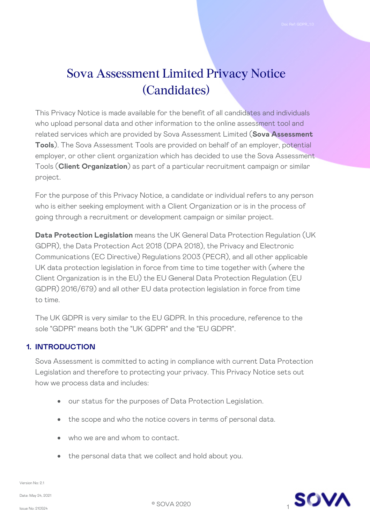# Sova Assessment Limited Privacy Notice (Candidates)

This Privacy Notice is made available for the benefit of all candidates and individuals who upload personal data and other information to the online assessment tool and related services which are provided by Sova Assessment Limited (**Sova Assessment Tools**). The Sova Assessment Tools are provided on behalf of an employer, potential employer, or other client organization which has decided to use the Sova Assessment Tools (**Client Organization**) as part of a particular recruitment campaign or similar project.

For the purpose of this Privacy Notice, a candidate or individual refers to any person who is either seeking employment with a Client Organization or is in the process of going through a recruitment or development campaign or similar project.

**Data Protection Legislation** means the UK General Data Protection Regulation (UK GDPR), the Data Protection Act 2018 (DPA 2018), the Privacy and Electronic Communications (EC Directive) Regulations 2003 (PECR), and all other applicable UK data protection legislation in force from time to time together with (where the Client Organization is in the EU) the EU General Data Protection Regulation (EU GDPR) 2016/679) and all other EU data protection legislation in force from time to time.

The UK GDPR is very similar to the EU GDPR. In this procedure, reference to the sole "GDPR" means both the "UK GDPR" and the "EU GDPR".

## **1. INTRODUCTION**

Sova Assessment is committed to acting in compliance with current Data Protection Legislation and therefore to protecting your privacy. This Privacy Notice sets out how we process data and includes:

- our status for the purposes of Data Protection Legislation.
- the scope and who the notice covers in terms of personal data.
- who we are and whom to contact.
- the personal data that we collect and hold about you.

Version No: 2.1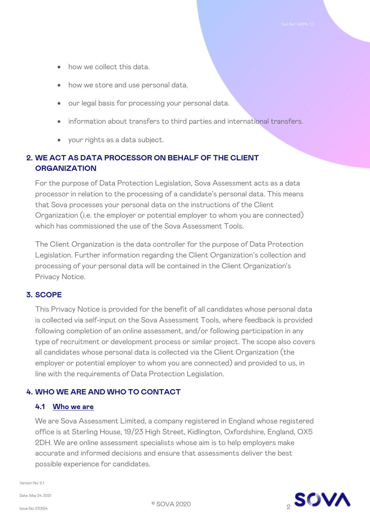- how we collect this data.
- how we store and use personal data.
- our legal basis for processing your personal data.
- information about transfers to third parties and international transfers.
- your rights as a data subject.

## **2. WE ACT AS DATA PROCESSOR ON BEHALF OF THE CLIENT ORGANIZATION**

For the purpose of Data Protection Legislation, Sova Assessment acts as a data processor in relation to the processing of a candidate's personal data. This means that Sova processes your personal data on the instructions of the Client Organization (i.e. the employer or potential employer to whom you are connected) which has commissioned the use of the Sova Assessment Tools.

The Client Organization is the data controller for the purpose of Data Protection Legislation. Further information regarding the Client Organization's collection and processing of your personal data will be contained in the Client Organization's Privacy Notice.

#### **3. SCOPE**

This Privacy Notice is provided for the benefit of all candidates whose personal data is collected via self-input on the Sova Assessment Tools, where feedback is provided following completion of an online assessment, and/or following participation in any type of recruitment or development process or similar project. The scope also covers all candidates whose personal data is collected via the Client Organization (the employer or potential employer to whom you are connected) and provided to us, in line with the requirements of Data Protection Legislation.

## **4. WHO WE ARE AND WHO TO CONTACT**

#### **4.1 Who we are**

We are Sova Assessment Limited, a company registered in England whose registered office is at Sterling House, 19/23 High Street, Kidlington, Oxfordshire, England, OX5 2DH. We are online assessment specialists whose aim is to help employers make accurate and informed decisions and ensure that assessments deliver the best possible experience for candidates.

Version No: 2.1

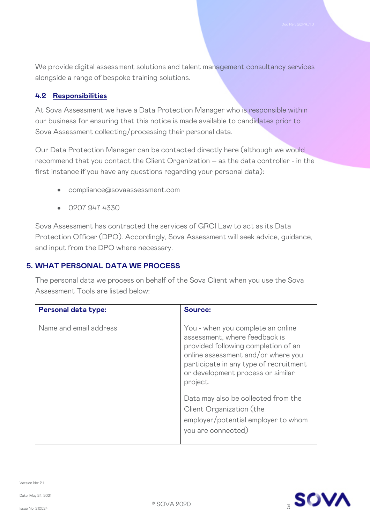We provide digital assessment solutions and talent management consultancy services alongside a range of bespoke training solutions.

#### **4.2 Responsibilities**

At Sova Assessment we have a Data Protection Manager who is responsible within our business for ensuring that this notice is made available to candidates prior to Sova Assessment collecting/processing their personal data.

Our Data Protection Manager can be contacted directly here (although we would recommend that you contact the Client Organization – as the data controller - in the first instance if you have any questions regarding your personal data):

- compliance@sovaassessment.com
- 0207 947 4330

Sova Assessment has contracted the services of GRCI Law to act as its Data Protection Officer (DPO). Accordingly, Sova Assessment will seek advice, guidance, and input from the DPO where necessary.

#### **5. WHAT PERSONAL DATA WE PROCESS**

The personal data we process on behalf of the Sova Client when you use the Sova Assessment Tools are listed below:

| <b>Personal data type:</b> | Source:                                                                                                                                                                                                                                    |
|----------------------------|--------------------------------------------------------------------------------------------------------------------------------------------------------------------------------------------------------------------------------------------|
| Name and email address     | You - when you complete an online<br>assessment, where feedback is<br>provided following completion of an<br>online assessment and/or where you<br>participate in any type of recruitment<br>or development process or similar<br>project. |
|                            | Data may also be collected from the<br>Client Organization (the<br>employer/potential employer to whom<br>you are connected)                                                                                                               |

Version No: 2.1

Date: May 24, 2021

<sup>3</sup> © SOVA 2020

Issue No: 210524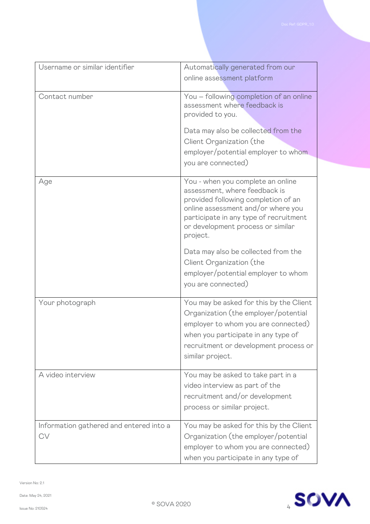| Username or similar identifier                | Automatically generated from our                                                                                                                                                                                           |
|-----------------------------------------------|----------------------------------------------------------------------------------------------------------------------------------------------------------------------------------------------------------------------------|
|                                               | online assessment platform                                                                                                                                                                                                 |
|                                               |                                                                                                                                                                                                                            |
| Contact number                                | You - following completion of an online                                                                                                                                                                                    |
|                                               | assessment where feedback is                                                                                                                                                                                               |
|                                               | provided to you.                                                                                                                                                                                                           |
|                                               | Data may also be collected from the                                                                                                                                                                                        |
|                                               | Client Organization (the                                                                                                                                                                                                   |
|                                               | employer/potential employer to whom                                                                                                                                                                                        |
|                                               | you are connected)                                                                                                                                                                                                         |
|                                               |                                                                                                                                                                                                                            |
| Age                                           | You - when you complete an online<br>assessment, where feedback is<br>provided following completion of an<br>online assessment and/or where you<br>participate in any type of recruitment                                  |
|                                               | or development process or similar<br>project.                                                                                                                                                                              |
|                                               | Data may also be collected from the<br>Client Organization (the<br>employer/potential employer to whom<br>you are connected)                                                                                               |
| Your photograph                               | You may be asked for this by the Client<br>Organization (the employer/potential<br>employer to whom you are connected)<br>when you participate in any type of<br>recruitment or development process or<br>similar project. |
| A video interview                             | You may be asked to take part in a<br>video interview as part of the<br>recruitment and/or development<br>process or similar project.                                                                                      |
| Information gathered and entered into a<br>CV | You may be asked for this by the Client<br>Organization (the employer/potential<br>employer to whom you are connected)<br>when you participate in any type of                                                              |

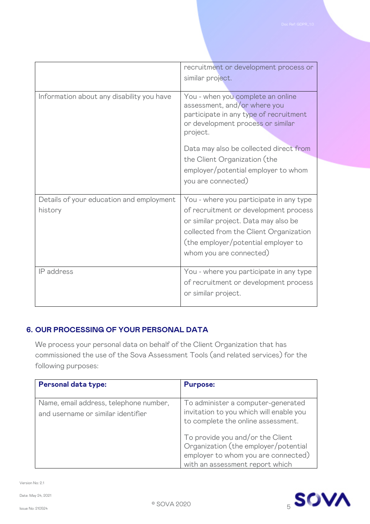|                                           | recruitment or development process or<br>similar project.                                                                                                                                 |
|-------------------------------------------|-------------------------------------------------------------------------------------------------------------------------------------------------------------------------------------------|
|                                           |                                                                                                                                                                                           |
| Information about any disability you have | You - when you complete an online<br>assessment, and/or where you<br>participate in any type of recruitment<br>or development process or similar<br>project.                              |
|                                           | Data may also be collected direct from                                                                                                                                                    |
|                                           | the Client Organization (the<br>employer/potential employer to whom<br>you are connected)                                                                                                 |
| Details of your education and employment  | You - where you participate in any type                                                                                                                                                   |
| history                                   | of recruitment or development process<br>or similar project. Data may also be<br>collected from the Client Organization<br>(the employer/potential employer to<br>whom you are connected) |
| IP address                                | You - where you participate in any type<br>of recruitment or development process<br>or similar project.                                                                                   |

## **6. OUR PROCESSING OF YOUR PERSONAL DATA**

We process your personal data on behalf of the Client Organization that has commissioned the use of the Sova Assessment Tools (and related services) for the following purposes:

| <b>Personal data type:</b>                                                   | <b>Purpose:</b>                                                                                                                                    |
|------------------------------------------------------------------------------|----------------------------------------------------------------------------------------------------------------------------------------------------|
| Name, email address, telephone number,<br>and username or similar identifier | To administer a computer-generated<br>invitation to you which will enable you<br>to complete the online assessment.                                |
|                                                                              | To provide you and/or the Client<br>Organization (the employer/potential<br>employer to whom you are connected)<br>with an assessment report which |

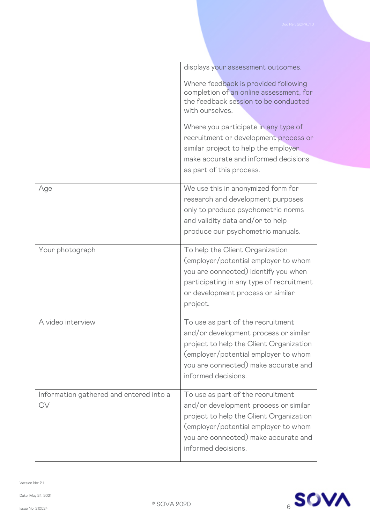|                                                      | displays your assessment outcomes.                                                                                                                                                                                           |
|------------------------------------------------------|------------------------------------------------------------------------------------------------------------------------------------------------------------------------------------------------------------------------------|
|                                                      | Where feedback is provided following<br>completion of an online assessment, for<br>the feedback session to be conducted<br>with ourselves.                                                                                   |
|                                                      | Where you participate in any type of<br>recruitment or development process or<br>similar project to help the employer<br>make accurate and informed decisions<br>as part of this process.                                    |
| Age                                                  | We use this in anonymized form for<br>research and development purposes<br>only to produce psychometric norms<br>and validity data and/or to help<br>produce our psychometric manuals.                                       |
| Your photograph                                      | To help the Client Organization<br>(employer/potential employer to whom<br>you are connected) identify you when<br>participating in any type of recruitment<br>or development process or similar<br>project.                 |
| A video interview                                    | To use as part of the recruitment<br>and/or development process or similar<br>project to help the Client Organization<br>(employer/potential employer to whom<br>you are connected) make accurate and<br>informed decisions. |
| Information gathered and entered into a<br><b>CV</b> | To use as part of the recruitment<br>and/or development process or similar<br>project to help the Client Organization<br>(employer/potential employer to whom<br>you are connected) make accurate and<br>informed decisions. |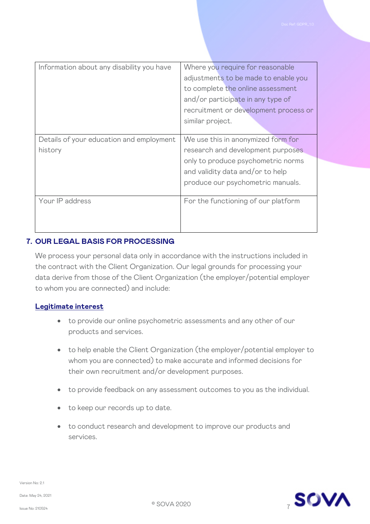| Information about any disability you have           | Where you require for reasonable<br>adjustments to be made to enable you<br>to complete the online assessment<br>and/or participate in any type of<br>recruitment or development process or<br>similar project. |
|-----------------------------------------------------|-----------------------------------------------------------------------------------------------------------------------------------------------------------------------------------------------------------------|
| Details of your education and employment<br>history | We use this in anonymized form for<br>research and development purposes<br>only to produce psychometric norms<br>and validity data and/or to help<br>produce our psychometric manuals.                          |
| Your IP address                                     | For the functioning of our platform                                                                                                                                                                             |

## **7. OUR LEGAL BASIS FOR PROCESSING**

We process your personal data only in accordance with the instructions included in the contract with the Client Organization. Our legal grounds for processing your data derive from those of the Client Organization (the employer/potential employer to whom you are connected) and include:

#### **Legitimate interest**

- to provide our online psychometric assessments and any other of our products and services.
- to help enable the Client Organization (the employer/potential employer to whom you are connected) to make accurate and informed decisions for their own recruitment and/or development purposes.
- to provide feedback on any assessment outcomes to you as the individual.
- to keep our records up to date.
- to conduct research and development to improve our products and services.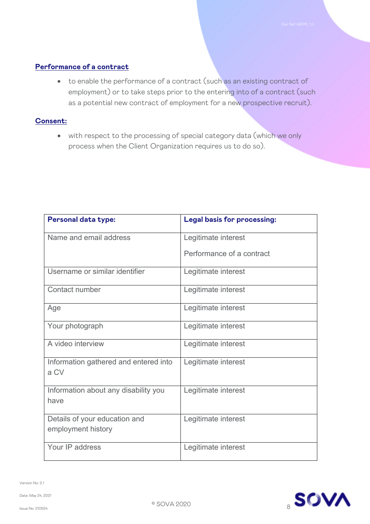### **Performance of a contract**

• to enable the performance of a contract (such as an existing contract of employment) or to take steps prior to the entering into of a contract (such as a potential new contract of employment for a new prospective recruit).

#### **Consent:**

• with respect to the processing of special category data (which we only process when the Client Organization requires us to do so).

| <b>Personal data type:</b>                          | <b>Legal basis for processing:</b> |
|-----------------------------------------------------|------------------------------------|
| Name and email address                              | Legitimate interest                |
|                                                     | Performance of a contract          |
| Username or similar identifier                      | Legitimate interest                |
| Contact number                                      | Legitimate interest                |
| Age                                                 | Legitimate interest                |
| Your photograph                                     | Legitimate interest                |
| A video interview                                   | Legitimate interest                |
| Information gathered and entered into<br>a CV       | Legitimate interest                |
| Information about any disability you<br>have        | Legitimate interest                |
| Details of your education and<br>employment history | Legitimate interest                |
| Your IP address                                     | Legitimate interest                |

Version No: 2.1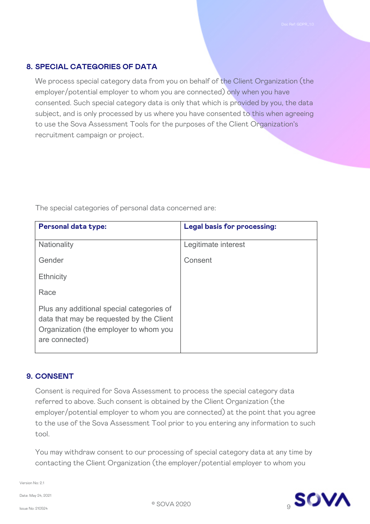## **8. SPECIAL CATEGORIES OF DATA**

We process special category data from you on behalf of the Client Organization (the employer/potential employer to whom you are connected) only when you have consented. Such special category data is only that which is provided by you, the data subject, and is only processed by us where you have consented to this when agreeing to use the Sova Assessment Tools for the purposes of the Client Organization's recruitment campaign or project.

| <b>Personal data type:</b>                                                                                                                        | <b>Legal basis for processing:</b> |
|---------------------------------------------------------------------------------------------------------------------------------------------------|------------------------------------|
| <b>Nationality</b>                                                                                                                                | Legitimate interest                |
| Gender                                                                                                                                            | Consent                            |
| <b>Ethnicity</b>                                                                                                                                  |                                    |
| Race                                                                                                                                              |                                    |
| Plus any additional special categories of<br>data that may be requested by the Client<br>Organization (the employer to whom you<br>are connected) |                                    |

The special categories of personal data concerned are:

#### **9. CONSENT**

Consent is required for Sova Assessment to process the special category data referred to above. Such consent is obtained by the Client Organization (the employer/potential employer to whom you are connected) at the point that you agree to the use of the Sova Assessment Tool prior to you entering any information to such tool.

You may withdraw consent to our processing of special category data at any time by contacting the Client Organization (the employer/potential employer to whom you

Version No: 2.1

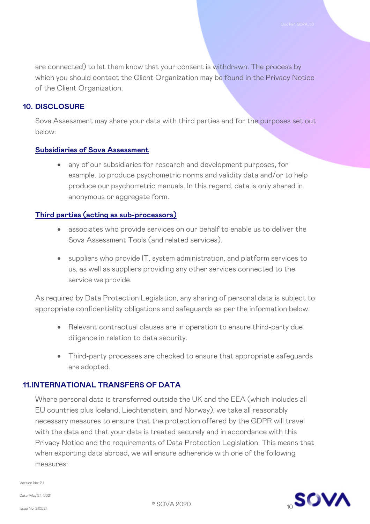are connected) to let them know that your consent is withdrawn. The process by which you should contact the Client Organization may be found in the Privacy Notice of the Client Organization.

#### **10. DISCLOSURE**

Sova Assessment may share your data with third parties and for the purposes set out below:

#### **Subsidiaries of Sova Assessment**

any of our subsidiaries for research and development purposes, for example, to produce psychometric norms and validity data and/or to help produce our psychometric manuals. In this regard, data is only shared in anonymous or aggregate form.

#### **Third parties (acting as sub-processors)**

- associates who provide services on our behalf to enable us to deliver the Sova Assessment Tools (and related services).
- suppliers who provide IT, system administration, and platform services to us, as well as suppliers providing any other services connected to the service we provide.

As required by Data Protection Legislation, any sharing of personal data is subject to appropriate confidentiality obligations and safeguards as per the information below.

- Relevant contractual clauses are in operation to ensure third-party due diligence in relation to data security.
- Third-party processes are checked to ensure that appropriate safeguards are adopted.

#### **11.INTERNATIONAL TRANSFERS OF DATA**

Where personal data is transferred outside the UK and the EEA (which includes all EU countries plus Iceland, Liechtenstein, and Norway), we take all reasonably necessary measures to ensure that the protection offered by the GDPR will travel with the data and that your data is treated securely and in accordance with this Privacy Notice and the requirements of Data Protection Legislation. This means that when exporting data abroad, we will ensure adherence with one of the following measures:

Version No: 2.1

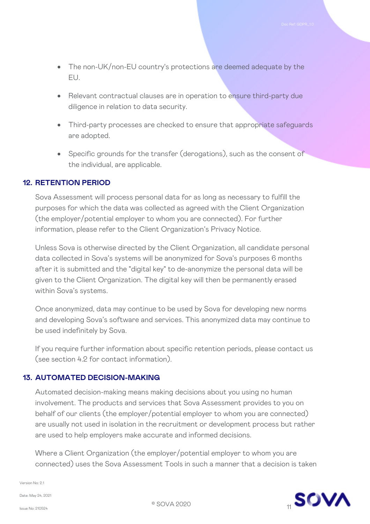- The non-UK/non-EU country's protections are deemed adequate by the EU.
- Relevant contractual clauses are in operation to ensure third-party due diligence in relation to data security.
- Third-party processes are checked to ensure that appropriate safeguards are adopted.
- Specific grounds for the transfer (derogations), such as the consent of the individual, are applicable.

#### **12. RETENTION PERIOD**

Sova Assessment will process personal data for as long as necessary to fulfill the purposes for which the data was collected as agreed with the Client Organization (the employer/potential employer to whom you are connected). For further information, please refer to the Client Organization's Privacy Notice.

Unless Sova is otherwise directed by the Client Organization, all candidate personal data collected in Sova's systems will be anonymized for Sova's purposes 6 months after it is submitted and the "digital key" to de-anonymize the personal data will be given to the Client Organization. The digital key will then be permanently erased within Sova's systems.

Once anonymized, data may continue to be used by Sova for developing new norms and developing Sova's software and services. This anonymized data may continue to be used indefinitely by Sova.

If you require further information about specific retention periods, please contact us (see section 4.2 for contact information).

#### **13. AUTOMATED DECISION-MAKING**

Automated decision-making means making decisions about you using no human involvement. The products and services that Sova Assessment provides to you on behalf of our clients (the employer/potential employer to whom you are connected) are usually not used in isolation in the recruitment or development process but rather are used to help employers make accurate and informed decisions.

Where a Client Organization (the employer/potential employer to whom you are connected) uses the Sova Assessment Tools in such a manner that a decision is taken

Version No: 2.1

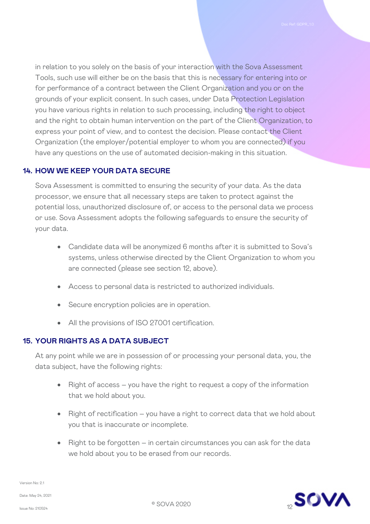in relation to you solely on the basis of your interaction with the Sova Assessment Tools, such use will either be on the basis that this is necessary for entering into or for performance of a contract between the Client Organization and you or on the grounds of your explicit consent. In such cases, under Data Protection Legislation you have various rights in relation to such processing, including the right to object and the right to obtain human intervention on the part of the Client Organization, to express your point of view, and to contest the decision. Please contact the Client Organization (the employer/potential employer to whom you are connected) if you have any questions on the use of automated decision-making in this situation.

## **14. HOW WE KEEP YOUR DATA SECURE**

Sova Assessment is committed to ensuring the security of your data. As the data processor, we ensure that all necessary steps are taken to protect against the potential loss, unauthorized disclosure of, or access to the personal data we process or use. Sova Assessment adopts the following safeguards to ensure the security of your data.

- Candidate data will be anonymized 6 months after it is submitted to Sova's systems, unless otherwise directed by the Client Organization to whom you are connected (please see section 12, above).
- Access to personal data is restricted to authorized individuals.
- Secure encryption policies are in operation.
- All the provisions of ISO 27001 certification.

## **15. YOUR RIGHTS AS A DATA SUBJECT**

At any point while we are in possession of or processing your personal data, you, the data subject, have the following rights:

- Right of access you have the right to request a copy of the information that we hold about you.
- Right of rectification you have a right to correct data that we hold about you that is inaccurate or incomplete.
- Right to be forgotten in certain circumstances you can ask for the data we hold about you to be erased from our records.

Version No: 2.1

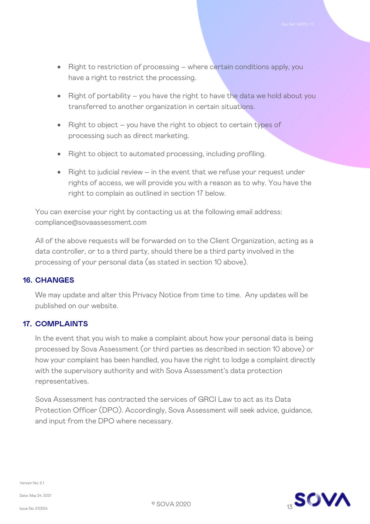- Right to restriction of processing where certain conditions apply, you have a right to restrict the processing.
- Right of portability you have the right to have the data we hold about you transferred to another organization in certain situations.
- Right to object you have the right to object to certain types of processing such as direct marketing.
- Right to object to automated processing, including profiling.
- Right to judicial review in the event that we refuse your request under rights of access, we will provide you with a reason as to why. You have the right to complain as outlined in section 17 below.

You can exercise your right by contacting us at the following email address: compliance@sovaassessment.com

All of the above requests will be forwarded on to the Client Organization, acting as a data controller, or to a third party, should there be a third party involved in the processing of your personal data (as stated in section 10 above).

#### **16. CHANGES**

We may update and alter this Privacy Notice from time to time. Any updates will be published on our website.

#### **17. COMPLAINTS**

In the event that you wish to make a complaint about how your personal data is being processed by Sova Assessment (or third parties as described in section 10 above) or how your complaint has been handled, you have the right to lodge a complaint directly with the supervisory authority and with Sova Assessment's data protection representatives.

Sova Assessment has contracted the services of GRCI Law to act as its Data Protection Officer (DPO). Accordingly, Sova Assessment will seek advice, guidance, and input from the DPO where necessary.



Version No: 2.1